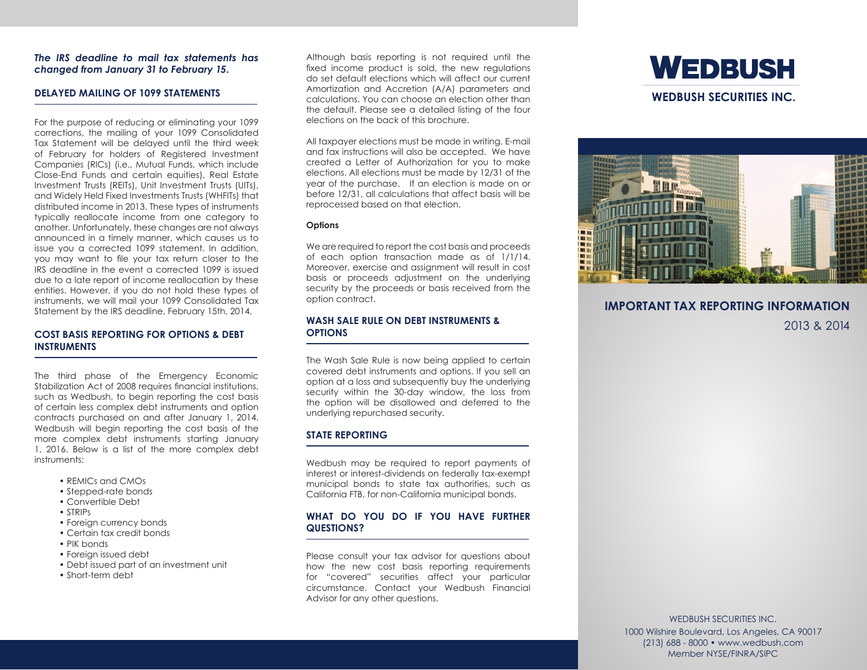## *The IRS deadline to mail tax statements has changed from January 31 to February 15.*

#### **DELAYED MAILING OF 1099 STATEMENTS**

For the purpose of reducing or eliminating your 1099 corrections, the mailing of your 1099 Consolidated Tax Statement will be delayed until the third week of February for holders of Registered Investment Companies (RICs) (i.e., Mutual Funds, which include Close-End Funds and certain equities), Real Estate Investment Trusts (REITs), Unit Investment Trusts (UITs), and Widely Held Fixed Investments Trusts (WHFITs) that distributed income in 2013. These types of instruments typically reallocate income from one category to another. Unfortunately, these changes are not always announced in a timely manner, which causes us to issue you a corrected 1099 statement. In addition, you may want to file your tax return closer to the IRS deadline in the event a corrected 1099 is issued due to a late report of income reallocation by these entities. However, if you do not hold these types of instruments, we will mail your 1099 Consolidated Tax Statement by the IRS deadline, February 15th, 2014.

#### **COST BASIS REPORTING FOR OPTIONS & DEBT INSTRUMENTS**

The third phase of the Emergency Economic Stabilization Act of 2008 requires financial institutions, such as Wedbush, to begin reporting the cost basis of certain less complex debt instruments and option contracts purchased on and after January 1, 2014. Wedbush will begin reporting the cost basis of the more complex debt instruments starting January 1, 2016. Below is a list of the more complex debt instruments:

- REMICs and CMOs
- Stepped-rate bonds
- Convertible Debt
- STRIPs
- Foreign currency bonds
- Certain tax credit bonds
- PIK bonds
- Foreign issued debt
- Debt issued part of an investment unit
- Short-term debt

Although basis reporting is not required until the fixed income product is sold, the new regulations do set default elections which will affect our current Amortization and Accretion (A/A) parameters and calculations. You can choose an election other than the default. Please see a detailed listing of the four elections on the back of this brochure.

All taxpayer elections must be made in writing. E-mail and fax instructions will also be accepted. We have created a Letter of Authorization for you to make elections. All elections must be made by 12/31 of the year of the purchase. If an election is made on or before 12/31, all calculations that affect basis will be reprocessed based on that election.

### **Options**

We are required to report the cost basis and proceeds of each option transaction made as of 1/1/14. Moreover, exercise and assignment will result in cost basis or proceeds adjustment on the underlying security by the proceeds or basis received from the option contract.

#### **WASH SALE RULE ON DEBT INSTRUMENTS & OPTIONS**

The Wash Sale Rule is now being applied to certain covered debt instruments and options. If you sell an option at a loss and subsequently buy the underlying security within the 30-day window, the loss from the option will be disallowed and deferred to the underlying repurchased security.

#### **STATE REPORTING**

Wedbush may be required to report payments of interest or interest-dividends on federally tax-exempt municipal bonds to state tax authorities, such as California FTB, for non-California municipal bonds.

#### **WHAT DO YOU DO IF YOU HAVE FURTHER QUESTIONS?**

Please consult your tax advisor for questions about how the new cost basis reporting requirements for "covered" securities affect your particular circumstance. Contact your Wedbush Financial Advisor for any other questions.





# **IMPORTANT TAX REPORTING INFORMATION**

2013 & 2014

WEDBUSH SECURITIES INC. 1000 Wilshire Boulevard, Los Angeles, CA 90017 (213) 688 - 8000 • www.wedbush.com Member NYSE/FINRA/SIPC